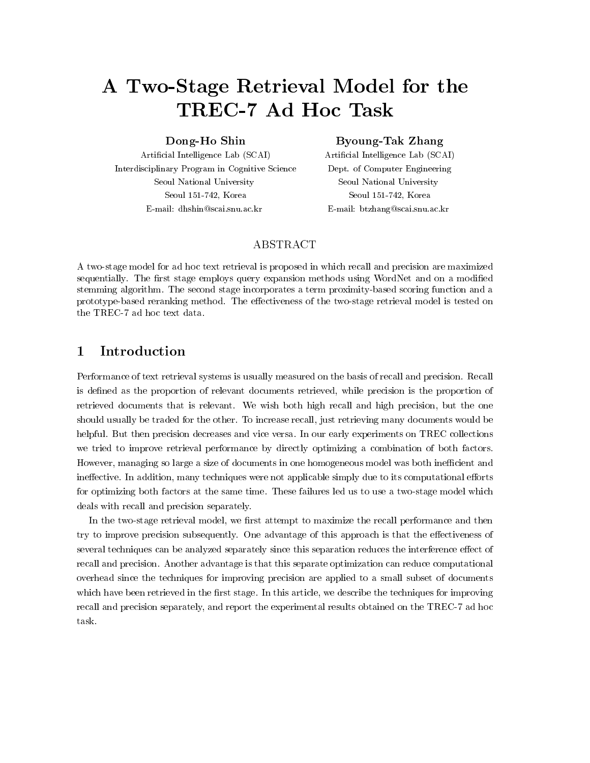# A Two-Stage Retrieval Model for the

## Dong-Ho Shin

article intelligence and the scarce of the scarce of the scarce of the scarce of the scarce of the scarce of t Interdisciplinary Program in Cognitive Science Seoul National University Seoul Korea E-mail: dhshin@scai.snu.ac.kr

## $\blacksquare$  Take  $\blacksquare$   $\blacksquare$   $\blacksquare$   $\blacksquare$   $\blacksquare$   $\blacksquare$   $\blacksquare$   $\blacksquare$   $\blacksquare$   $\blacksquare$   $\blacksquare$   $\blacksquare$   $\blacksquare$   $\blacksquare$   $\blacksquare$   $\blacksquare$   $\blacksquare$   $\blacksquare$   $\blacksquare$   $\blacksquare$   $\blacksquare$   $\blacksquare$   $\blacksquare$   $\blacksquare$   $\blacksquare$   $\blacksquare$   $\blacksquare$   $\blacksquare$   $\blacksquare$   $\blacksquare$

article intelligence and the scarce of the Scarce of the Scarce of the Scarce of the Scarce of the Scarce of the Dept. of Computer Engineering Seoul National University Seoul Korea E-mail: btzhang@scai.snu.ac.kr

## ABSTRACT

A two-stage model for ad hoc text retrieval is proposed in which recall and precision are maximized sequentially. The first stage employs query expansion methods using WordNet and on a modified stemming algorithm The second stage incorporates a term proximity-based scoring function and a prototype-based reranking method The eectiveness of the two-stage retrieval model is tested on

### $\mathbf{1}$ Introduction

Performance of text retrieval systems is usually measured on the basis of recall and precision Recall is defined as the proportion of relevant documents retrieved, while precision is the proportion of retrieved documents that is relevant. We wish both high recall and high precision, but the one should usually be traded for the other. To increase recall, just retrieving many documents would be helpful. But then precision decreases and vice versa. In our early experiments on TREC collections we tried to improve retrieval performance by directly optimizing a combination of both factors However, managing so large a size of documents in one homogeneous model was both inefficient and ineffective. In addition, many techniques were not applicable simply due to its computational efforts for optimizing both factors at the same time These failures led us to use a two-stage model which deals with recall and precision separately

In the two-stage retrieval model we rst attempt to maximize the recall performance and then try to improve precision subsequently. One advantage of this approach is that the effectiveness of several techniques can be analyzed separately since this separation reduces the interference effect of recall and precision Another advantage is that this separate optimization can reduce computational overhead since the techniques for improving precision are applied to a small subset of documents which have been retrieved in the first stage. In this article, we describe the techniques for improving recall and precision separately and report the experimental results obtained on the TREC- ad hoc task.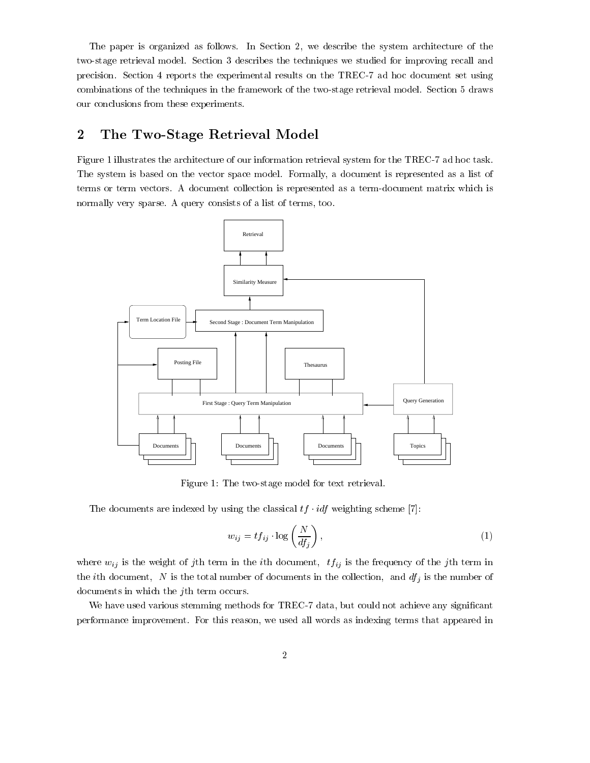The paper is organized as follows. In Section 2, we describe the system architecture of the two-stage retrieval model Section describes the techniques we studied for improving recall and precision Section reports the experimental results on the TREC- ad hoc document set using combinations of the techniques in the framework of the two-stage retrieval model Section  draws our conclusions from these experiments

## $\overline{2}$ The Two-Stage Retrieval Model

Figure 
 illustrates the architecture of our information retrieval system for the TREC- ad hoc task The system is based on the vector space model. Formally, a document is represented as a list of terms or term vectors A document collection is represented as a term-document matrix which is normally very sparse. A query consists of a list of terms, too.



Figure The two-stage model for text retrieval

The documents are indexed by using the classical  $tf \cdot idf$  weighting scheme [7]:

$$
w_{ij} = t f_{ij} \cdot \log\left(\frac{N}{df_j}\right),\tag{1}
$$

where  $w_{ij}$  is the weight of jth term in the *i*th document,  $tf_{ij}$  is the frequency of the jth term in the ith document, N is the total number of documents in the collection, and  $df_j$  is the number of documents in which the jth term occurs

We have used various stemming methods for TREC- data but could not achieve any signicant performance improvement. For this reason, we used all words as indexing terms that appeared in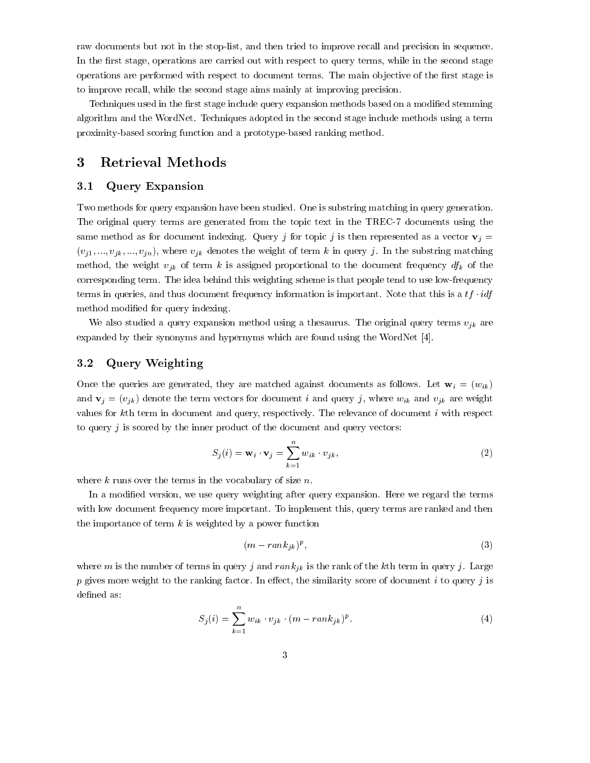raw documents but not in the stop-list and then tried to improve recall and precision in sequence In the first stage, operations are carried out with respect to query terms, while in the second stage operations are performed with respect to document terms. The main objective of the first stage is to improve recall, while the second stage aims mainly at improving precision.

Techniques used in the first stage include query expansion methods based on a modified stemming algorithm and the WordNet. Techniques adopted in the second stage include methods using a term proximity-based scoring function and a prototype-based ranking method

#### Retrieval Methods 3

#### $3.1$ Query Expansion

Two methods for query expansion have been studied. One is substring matching in query generation. The original query terms are generated from the topic text in the TREC- documents using the same method as for document indexing. Query j for topic j is then represented as a vector  $\mathbf{v}_j =$  $\{v_1, \ldots, v_m\}$  . The where  $\{v_k\}$  denotes the weight of term  $\alpha$  in query j  $\alpha$  in the substring matching method, the weight  $v_{jk}$  of term k is assigned proportional to the document frequency  $df_k$  of the corresponding term The idea behind this weighting scheme is the people tend to use a frequency terms in queries, and thus document frequency information is important. Note that this is a  $tf \cdot idf$ method modified for query indexing.

We also studied a query expansion method using a thesaurus. The original query terms  $v_{jk}$  are expanded by their synonyms and hypernyms which are found using the WordNet [4].

#### $3.2\,$ Query Weighting

Once the queries are generated, they are matched against documents as follows. Let  $\mathbf{w}_i = (w_{ik})$ and  $\mathbf{v}_j = (v_{jk})$  denote the term vectors for document i and query j, where  $w_{ik}$  and  $v_{jk}$  are weight values for  $k$ th term in document and query, respectively. The relevance of document  $i$  with respect to query  $j$  is scored by the inner product of the document and query vectors:

$$
S_j(i) = \mathbf{w}_i \cdot \mathbf{v}_j = \sum_{k=1}^n w_{ik} \cdot v_{jk},
$$
\n(2)

where k runs over the terms in the vocabulary of size  $n$ .<br>In a modified version, we use query weighting after query expansion. Here we regard the terms with low document frequency more important. To implement this, query terms are ranked and then the importance of term  $k$  is weighted by a power function

$$
(m-rank_{jk})^p,\t\t(3)
$$

where m is the number of terms in query j and  $rank_{jk}$  is the rank of the kth term in query j. Large p gives more weight to the ranking factor. In effect, the similarity score of document i to query j is defined as:

$$
S_j(i) = \sum_{k=1}^n w_{ik} \cdot v_{jk} \cdot (m - rank_{jk})^p.
$$
 (4)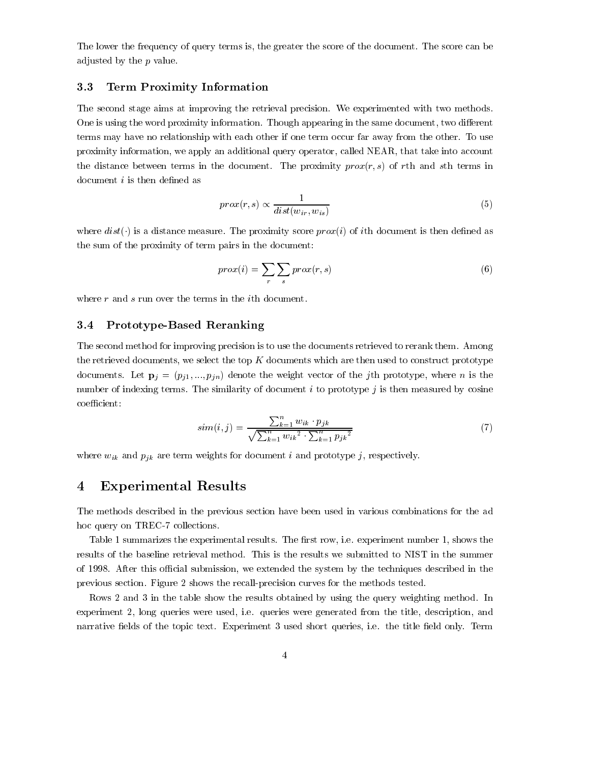The lower the frequency of query terms is, the greater the score of the document. The score can be adjusted by the  $p$  value.

#### $3.3$ Term Proximity Information

The second stage aims at improving the retrieval precision. We experimented with two methods. One is using the word proximity information. Though appearing in the same document, two different terms may have no relationship with each other if one term occur far away from the other. To use proximity information, we apply an additional query operator, called NEAR, that take into account  $\alpha$  distance between terms in the document. The proximity proxy, or ran and sth terms in document  $i$  is then defined as

$$
prox(r,s) \propto \frac{1}{dist(w_{ir}, w_{is})}
$$
\n<sup>(5)</sup>

where  $dist(\cdot)$  is a distance measure. The proximity score prox(i) of ith document is then defined as the sum of the proximity of term pairs in the document

$$
prox(i) = \sum_{r} \sum_{s} prox(r, s)
$$
\n(6)

where  $r$  and  $s$  run over the terms in the *i*th document.

#### $3.4$ Prototype-Based Reranking

The second method for improving precision is to use the documents retrieved to rerank them. Among the retrieved documents, we select the top  $K$  documents which are then used to construct prototype  $\alpha$  of  $\alpha$  and  $\alpha$  pj- $\alpha$  pj- $\alpha$  pj- $\alpha$  pjn  $\alpha$  is the weight vector of the junction  $\alpha$  is the single state. number of indexing terms. The similarity of document  $i$  to prototype  $j$  is then measured by cosine coefficient:

$$
sim(i,j) = \frac{\sum_{k=1}^{n} w_{ik} \cdot p_{jk}}{\sqrt{\sum_{k=1}^{n} w_{ik}^{2} \cdot \sum_{k=1}^{n} p_{jk}^{2}}}
$$
(7)

where  $w_{ik}$  and  $p_{jk}$  are term weights for document i and prototype j, respectively.

## Experimental Results

The methods described in the previous section have been used in various combinations for the ad hoc query on TREC- collections

Table 1 summarizes the experimental results. The first row, i.e. experiment number 1, shows the results of the baseline retrieval method. This is the results we submitted to NIST in the summer of 1998. After this official submission, we extended the system by the techniques described in the previous section Figure shows the recall-precision curves for the methods tested

 $R$  and the table show the results obtained by using the results obtained by using the query weighting method in experiment 2, long queries were used, i.e. queries were generated from the title, description, and narrative elds of the topic text Experiment used short queries ie the title eld only Term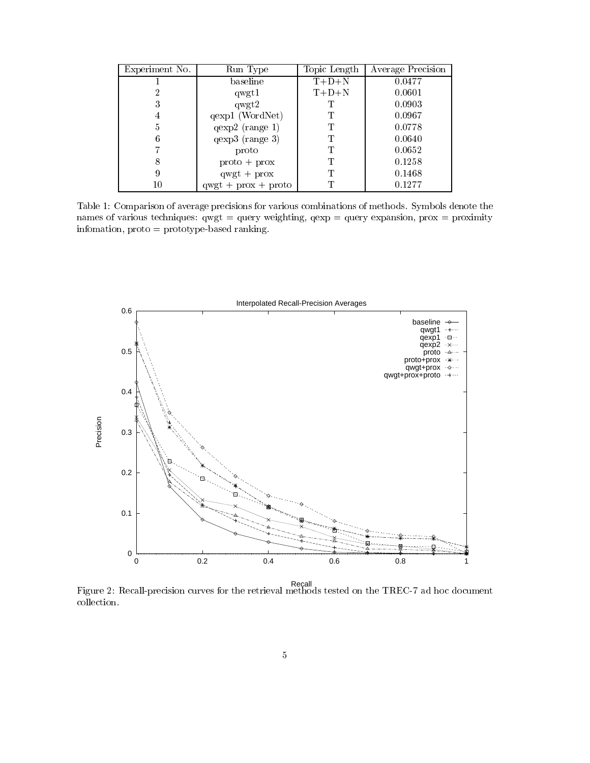| Experiment No. | Run Type               | Topic Length | Average Precision |
|----------------|------------------------|--------------|-------------------|
|                | baseline               | $T+D+N$      | 0.0477            |
| $\overline{2}$ | qwgt1                  | $T+D+N$      | 0.0601            |
| 3              | q wgt2                 |              | 0.0903            |
| 4              | qexp1 (WordNet)        | Т            | 0.0967            |
| 5              | $qexp2$ (range 1)      | T            | 0.0778            |
| 6              | $qexp3$ (range 3)      | Т            | 0.0640            |
|                | proto                  | Т            | 0.0652            |
| 8              | $proto + prox$         | T            | 0.1258            |
| 9              | $q wgt + prox$         | Т            | 0.1468            |
| 10             | $q wgt + prox + proto$ | Т            | 0.1277            |

Table 1: Comparison of average precisions for various combinations of methods. Symbols denote the names of various techniques:  $qwgt = query$  weighting,  $qexp = query$  expansion,  $prox = proximity$ infomation proto prototype-based ranking



Recall<br>Figure 2: Recall-precision curves for the retrieval methods tested on the TREC-7 ad hoc document collection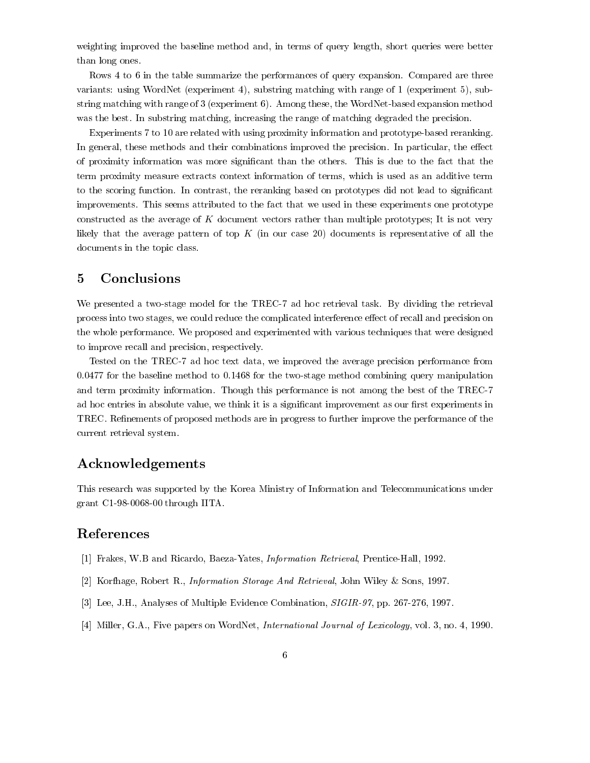weighting improved the baseline method and, in terms of query length, short queries were better than long ones

Rows 4 to 6 in the table summarize the performances of query expansion. Compared are three variants: using WordNet (experiment 4), substring matching with range of  $1$  (experiment 5), substring matching with range of  $\epsilon$  the Mongo through the WordNet-University methods in the WordNet-University of was the best. In substring matching, increasing the range of matching degraded the precision.

Experiments to 
 are related with using proximity information and prototype-based reranking In general, these methods and their combinations improved the precision. In particular, the effect of proximity information was more signicant than the others This is due to the fact that the term proximity measure extracts context information of terms which is used as an additive term to the scoring function. In contrast, the reranking based on prototypes did not lead to significant improvements This seems attributed to the fact that we used in these experiments one prototype constructed as the average of K document vectors rather than multiple prototypes; It is not very likely that the average pattern of top  $K$  (in our case 20) documents is representative of all the documents in the topic class

## Conclusions

We presented a two-stage model for the TREC- ad hoc retrieval task By dividing the retrieval process into two stages, we could reduce the complicated interference effect of recall and precision on the whole performance. We proposed and experimented with various techniques that were designed to improve recall and precision, respectively.

Tested on the TREC- ad hoc text data we improved the average precision performance from for the baseline method to 
 for the two-stage method combining query manipulation and term proximity information Though this performance is not among the best of the TREC ad hoc entries in absolute value, we think it is a significant improvement as our first experiments in TREC. Refinements of proposed methods are in progress to further improve the performance of the current retrieval system

# Acknowledgements

This research was supported by the Korea Ministry of Information and Telecommunications under grant C
--- through IITA

## References

- Transferred Warehouse And Ricardo Baezar Prentice, Prejardo Baezar Andrea Prentice-Prentice-Prentice-
- [2] Korfhage, Robert R., *Information Storage And Retrieval*, John Wiley & Sons, 1997.
- , and the second complete the multiple  $\sim$  -complete Complete Complete Complete Complete Complete Complete Co
- Miller GA Five papers on WordNet International Journal of Lexicology vol no